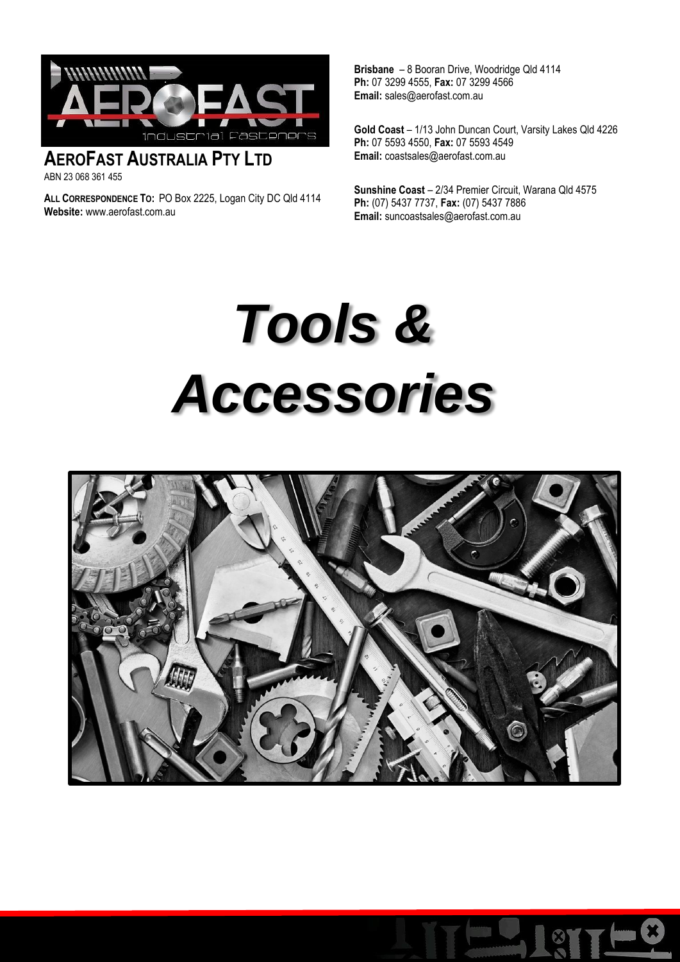

### **AEROFAST AUSTRALIA PTY LTD**  ABN 23 068 361 455

**ALL CORRESPONDENCE TO:** PO Box 2225, Logan City DC Qld 4114 **Website:** www.aerofast.com.au

**Brisbane** – 8 Booran Drive, Woodridge Qld 4114 **Ph:** 07 3299 4555, **Fax:** 07 3299 4566 **Email:** sales@aerofast.com.au

**Gold Coast** – 1/13 John Duncan Court, Varsity Lakes Qld 4226 **Ph:** 07 5593 4550, **Fax:** 07 5593 4549 **Email:** coastsales@aerofast.com.au

**Sunshine Coast** – 2/34 Premier Circuit, Warana Qld 4575 **Ph:** (07) 5437 7737, **Fax:** (07) 5437 7886 **Email:** [suncoastsales@aerofast.com.au](mailto:suncoastsales@aerofast.com.au)

# *Tools & Accessories*



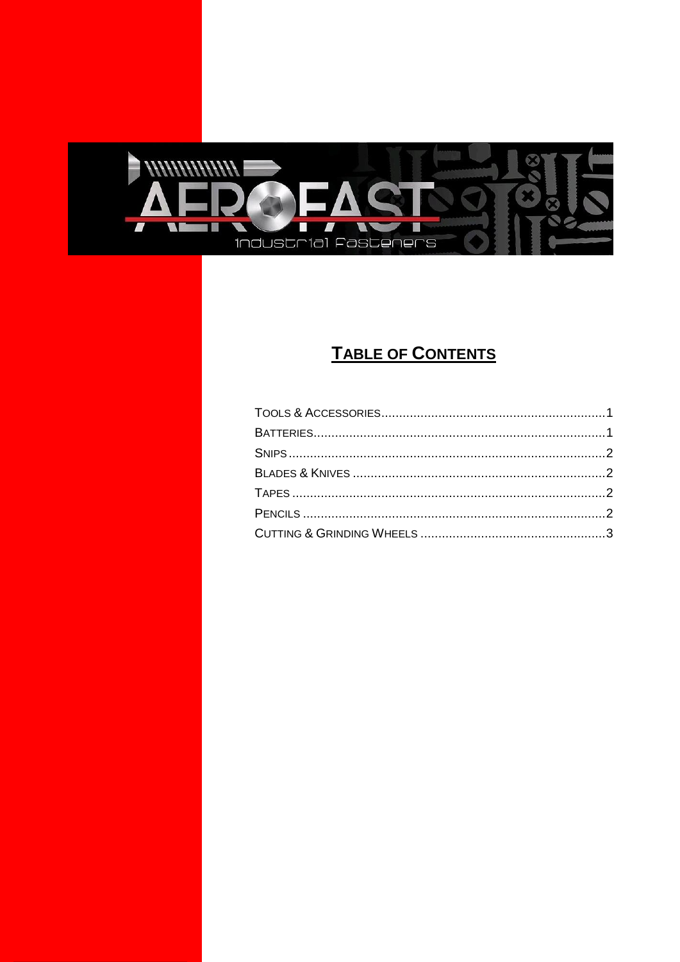<span id="page-1-0"></span>

### **TABLE OF CONTENTS**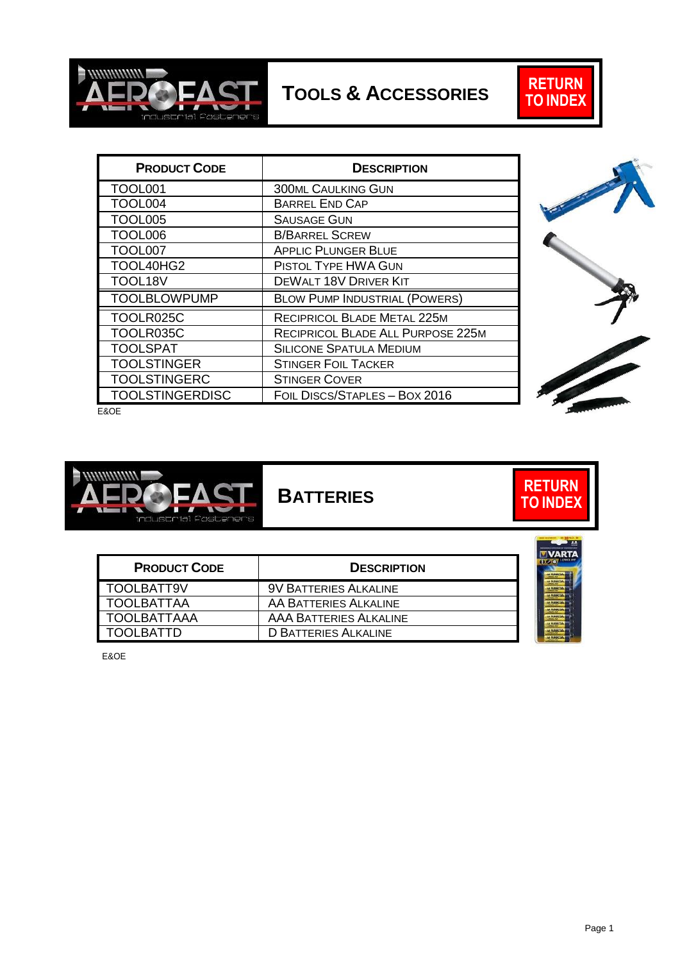

<span id="page-2-0"></span>**TOOLS & ACCESSORIES**



| <b>PRODUCT CODE</b>    | <b>DESCRIPTION</b>                   |
|------------------------|--------------------------------------|
| TOOL001                | <b>300ML CAULKING GUN</b>            |
| TOOL004                | <b>BARREL END CAP</b>                |
| <b>TOOL005</b>         | <b>SAUSAGE GUN</b>                   |
| <b>TOOL006</b>         | <b>B/BARREL SCREW</b>                |
| TOOL007                | <b>APPLIC PLUNGER BLUE</b>           |
| TOOL40HG2              | <b>PISTOL TYPE HWA GUN</b>           |
| TOOL18V                | DEWALT 18V DRIVER KIT                |
| <b>TOOLBLOWPUMP</b>    | <b>BLOW PUMP INDUSTRIAL (POWERS)</b> |
| TOOLR025C              | RECIPRICOL BLADE METAL 225M          |
| TOOLR035C              | RECIPRICOL BLADE ALL PURPOSE 225M    |
| <b>TOOLSPAT</b>        | <b>SILICONE SPATULA MEDIUM</b>       |
| <b>TOOLSTINGER</b>     | <b>STINGER FOIL TACKER</b>           |
| <b>TOOLSTINGERC</b>    | <b>STINGER COVER</b>                 |
| <b>TOOLSTINGERDISC</b> | FOIL DISCS/STAPLES - BOX 2016        |



E&OE



<span id="page-2-1"></span>**BATTERIES**

| <b>PRODUCT CODE</b> | <b>DESCRIPTION</b>            |  |
|---------------------|-------------------------------|--|
| TOOLBATT9V          | <b>9V BATTERIES ALKALINE</b>  |  |
| <b>TOOLBATTAA</b>   | AA BATTERIES ALKALINE         |  |
| <b>TOOLBATTAAA</b>  | <b>AAA BATTERIES ALKALINE</b> |  |
| <b>TOOLBATTD</b>    | <b>D BATTERIES ALKALINE</b>   |  |

 $A$ **/ARTA** 

**[RETURN](#page-1-0) TO [INDEX](#page-1-0)**

E&OE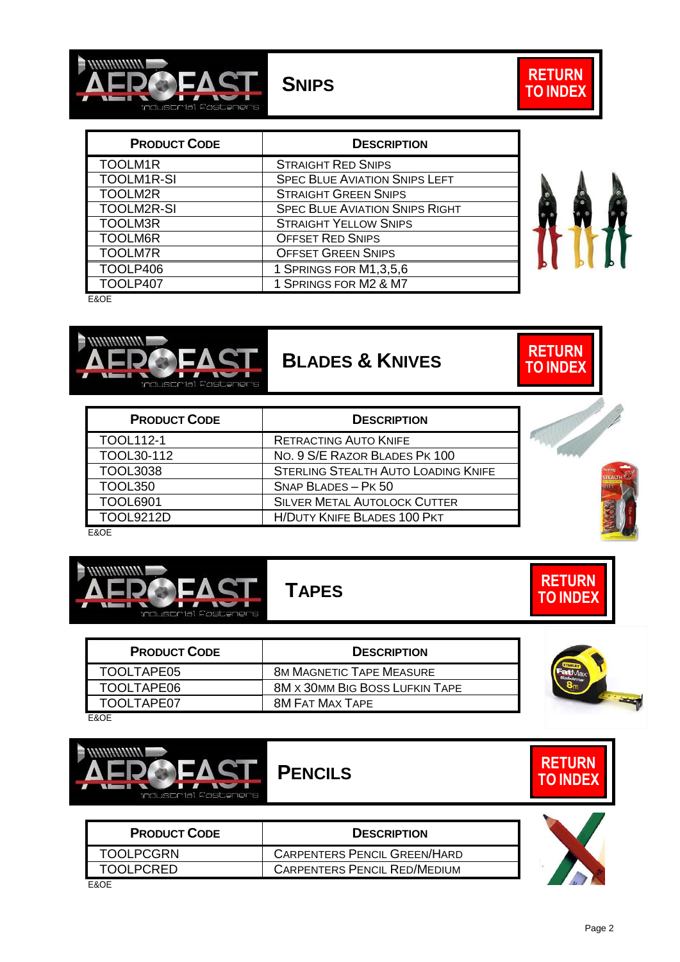



<span id="page-3-0"></span>

| <b>PRODUCT CODE</b> | <b>DESCRIPTION</b>                    |  |
|---------------------|---------------------------------------|--|
| TOOLM1R             | <b>STRAIGHT RED SNIPS</b>             |  |
| <b>TOOLM1R-SI</b>   | <b>SPEC BLUE AVIATION SNIPS LEFT</b>  |  |
| TOOLM2R             | <b>STRAIGHT GREEN SNIPS</b>           |  |
| <b>TOOLM2R-SI</b>   | <b>SPEC BLUE AVIATION SNIPS RIGHT</b> |  |
| <b>TOOLM3R</b>      | <b>STRAIGHT YELLOW SNIPS</b>          |  |
| TOOLM6R             | <b>OFFSET RED SNIPS</b>               |  |
| <b>TOOLM7R</b>      | <b>OFFSET GREEN SNIPS</b>             |  |
| TOOLP406            | 1 SPRINGS FOR M1,3,5,6                |  |
| TOOLP407            | 1 SPRINGS FOR M2 & M7                 |  |
| - - - -             |                                       |  |

E&OE



## <span id="page-3-1"></span>**BLADES & KNIVES**

| <b>PRODUCT CODE</b> | <b>DESCRIPTION</b>                         |  |
|---------------------|--------------------------------------------|--|
| <b>TOOL112-1</b>    | <b>RETRACTING AUTO KNIFE</b>               |  |
| TOOL30-112          | NO. 9 S/E RAZOR BLADES PK 100              |  |
| <b>TOOL3038</b>     | <b>STERLING STEALTH AUTO LOADING KNIFE</b> |  |
| <b>TOOL350</b>      | SNAP BLADES - PK 50                        |  |
| <b>TOOL6901</b>     | <b>SILVER METAL AUTOLOCK CUTTER</b>        |  |
| TOOL9212D           | <b>H/DUTY KNIFE BLADES 100 PKT</b>         |  |

E&OE

<span id="page-3-2"></span>

## **TAPES**



E&OE

<span id="page-3-3"></span>

**PRODUCT CODE DESCRIPTION** TOOLPCGRN CARPENTERS PENCIL GREEN/HARD TOOLPCRED CARPENTERS PENCIL RED/MEDIUM

E&OE



| <b>RETURN</b><br><b>TO INDEX</b> |  |
|----------------------------------|--|
|                                  |  |
|                                  |  |





**[RETURN](#page-1-0) TO [INDEX](#page-1-0)**